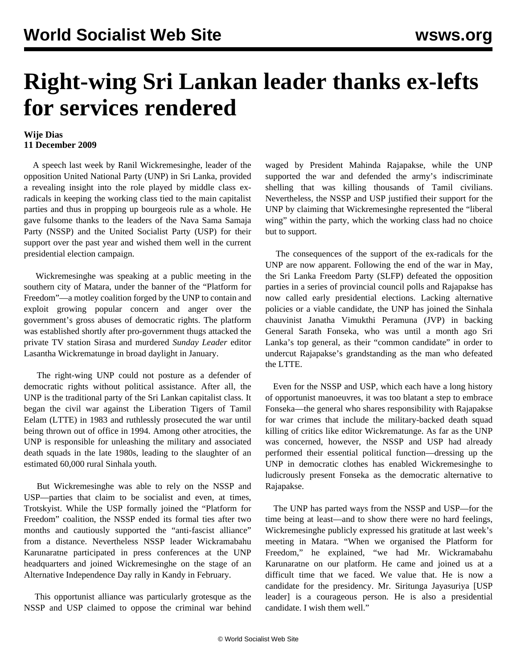## **Right-wing Sri Lankan leader thanks ex-lefts for services rendered**

## **Wije Dias 11 December 2009**

 A speech last week by Ranil Wickremesinghe, leader of the opposition United National Party (UNP) in Sri Lanka, provided a revealing insight into the role played by middle class exradicals in keeping the working class tied to the main capitalist parties and thus in propping up bourgeois rule as a whole. He gave fulsome thanks to the leaders of the Nava Sama Samaja Party (NSSP) and the United Socialist Party (USP) for their support over the past year and wished them well in the current presidential election campaign.

 Wickremesinghe was speaking at a public meeting in the southern city of Matara, under the banner of the "Platform for Freedom"—a motley coalition forged by the UNP to contain and exploit growing popular concern and anger over the government's gross abuses of democratic rights. The platform was established shortly after pro-government thugs attacked the private TV station Sirasa and murdered *Sunday Leader* editor Lasantha Wickrematunge in broad daylight in January.

 The right-wing UNP could not posture as a defender of democratic rights without political assistance. After all, the UNP is the traditional party of the Sri Lankan capitalist class. It began the civil war against the Liberation Tigers of Tamil Eelam (LTTE) in 1983 and ruthlessly prosecuted the war until being thrown out of office in 1994. Among other atrocities, the UNP is responsible for unleashing the military and associated death squads in the late 1980s, leading to the slaughter of an estimated 60,000 rural Sinhala youth.

 But Wickremesinghe was able to rely on the NSSP and USP—parties that claim to be socialist and even, at times, Trotskyist. While the USP formally joined the "Platform for Freedom" coalition, the NSSP ended its formal ties after two months and cautiously supported the "anti-fascist alliance" from a distance. Nevertheless NSSP leader Wickramabahu Karunaratne participated in press conferences at the UNP headquarters and joined Wickremesinghe on the stage of an Alternative Independence Day rally in Kandy in February.

 This opportunist alliance was particularly grotesque as the NSSP and USP claimed to oppose the criminal war behind waged by President Mahinda Rajapakse, while the UNP supported the war and defended the army's indiscriminate shelling that was killing thousands of Tamil civilians. Nevertheless, the NSSP and USP justified their support for the UNP by claiming that Wickremesinghe represented the "liberal wing" within the party, which the working class had no choice but to support.

 The consequences of the support of the ex-radicals for the UNP are now apparent. Following the end of the war in May, the Sri Lanka Freedom Party (SLFP) defeated the opposition parties in a series of provincial council polls and Rajapakse has now called early presidential elections. Lacking alternative policies or a viable candidate, the UNP has joined the Sinhala chauvinist Janatha Vimukthi Peramuna (JVP) in backing General Sarath Fonseka, who was until a month ago Sri Lanka's top general, as their "common candidate" in order to undercut Rajapakse's grandstanding as the man who defeated the LTTE.

 Even for the NSSP and USP, which each have a long history of opportunist manoeuvres, it was too blatant a step to embrace Fonseka—the general who shares responsibility with Rajapakse for war crimes that include the military-backed death squad killing of critics like editor Wickrematunge. As far as the UNP was concerned, however, the NSSP and USP had already performed their essential political function—dressing up the UNP in democratic clothes has enabled Wickremesinghe to ludicrously present Fonseka as the democratic alternative to Rajapakse.

 The UNP has parted ways from the NSSP and USP—for the time being at least—and to show there were no hard feelings, Wickremesinghe publicly expressed his gratitude at last week's meeting in Matara. "When we organised the Platform for Freedom," he explained, "we had Mr. Wickramabahu Karunaratne on our platform. He came and joined us at a difficult time that we faced. We value that. He is now a candidate for the presidency. Mr. Siritunga Jayasuriya [USP leader] is a courageous person. He is also a presidential candidate. I wish them well."